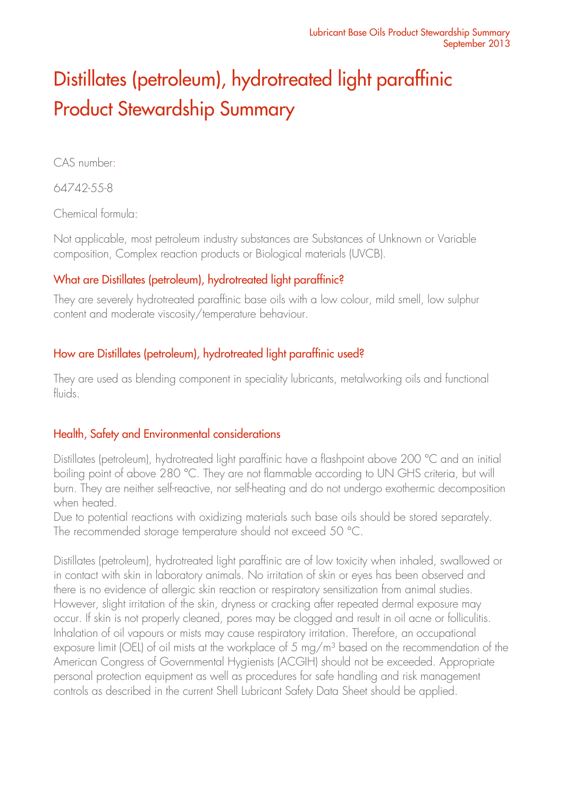# Distillates (petroleum), hydrotreated light paraffinic Product Stewardship Summary

CAS number:

64742-55-8

Chemical formula:

Not applicable, most petroleum industry substances are Substances of Unknown or Variable composition, Complex reaction products or Biological materials (UVCB).

## What are Distillates (petroleum), hydrotreated light paraffinic?

They are severely hydrotreated paraffinic base oils with a low colour, mild smell, low sulphur content and moderate viscosity/temperature behaviour.

## How are Distillates (petroleum), hydrotreated light paraffinic used?

They are used as blending component in speciality lubricants, metalworking oils and functional fluids.

### Health, Safety and Environmental considerations

Distillates (petroleum), hydrotreated light paraffinic have a flashpoint above 200 °C and an initial boiling point of above 280 °C. They are not flammable according to UN GHS criteria, but will burn. They are neither self-reactive, nor self-heating and do not undergo exothermic decomposition when heated.

Due to potential reactions with oxidizing materials such base oils should be stored separately. The recommended storage temperature should not exceed 50 °C.

Distillates (petroleum), hydrotreated light paraffinic are of low toxicity when inhaled, swallowed or in contact with skin in laboratory animals. No irritation of skin or eyes has been observed and there is no evidence of allergic skin reaction or respiratory sensitization from animal studies. However, slight irritation of the skin, dryness or cracking after repeated dermal exposure may occur. If skin is not properly cleaned, pores may be clogged and result in oil acne or folliculitis. Inhalation of oil vapours or mists may cause respiratory irritation. Therefore, an occupational exposure limit (OEL) of oil mists at the workplace of 5 mg/m<sup>3</sup> based on the recommendation of the American Congress of Governmental Hygienists (ACGIH) should not be exceeded. Appropriate personal protection equipment as well as procedures for safe handling and risk management controls as described in the current Shell Lubricant Safety Data Sheet should be applied.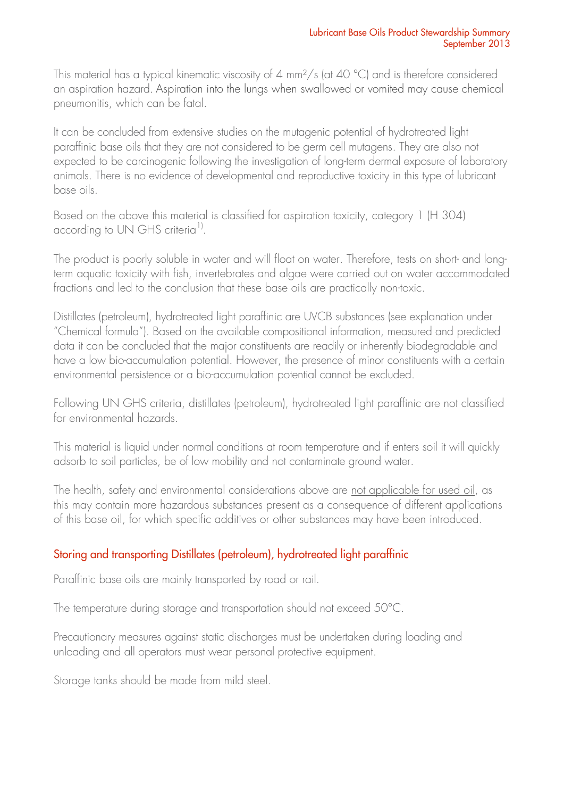This material has a typical kinematic viscosity of 4 mm<sup>2</sup>/s (at 40 °C) and is therefore considered an aspiration hazard. Aspiration into the lungs when swallowed or vomited may cause chemical pneumonitis, which can be fatal.

It can be concluded from extensive studies on the mutagenic potential of hydrotreated light paraffinic base oils that they are not considered to be germ cell mutagens. They are also not expected to be carcinogenic following the investigation of long-term dermal exposure of laboratory animals. There is no evidence of developmental and reproductive toxicity in this type of lubricant base oils.

Based on the above this material is classified for aspiration toxicity, category 1 (H 304) according to UN GHS criteria<sup>1)</sup>.

The product is poorly soluble in water and will float on water. Therefore, tests on short- and longterm aquatic toxicity with fish, invertebrates and algae were carried out on water accommodated fractions and led to the conclusion that these base oils are practically non-toxic.

Distillates (petroleum), hydrotreated light paraffinic are UVCB substances (see explanation under "Chemical formula"). Based on the available compositional information, measured and predicted data it can be concluded that the major constituents are readily or inherently biodegradable and have a low bio-accumulation potential. However, the presence of minor constituents with a certain environmental persistence or a bio-accumulation potential cannot be excluded.

Following UN GHS criteria, distillates (petroleum), hydrotreated light paraffinic are not classified for environmental hazards.

This material is liquid under normal conditions at room temperature and if enters soil it will quickly adsorb to soil particles, be of low mobility and not contaminate ground water.

The health, safety and environmental considerations above are not applicable for used oil, as this may contain more hazardous substances present as a consequence of different applications of this base oil, for which specific additives or other substances may have been introduced.

# Storing and transporting Distillates (petroleum), hydrotreated light paraffinic

Paraffinic base oils are mainly transported by road or rail.

The temperature during storage and transportation should not exceed 50°C.

Precautionary measures against static discharges must be undertaken during loading and unloading and all operators must wear personal protective equipment.

Storage tanks should be made from mild steel.